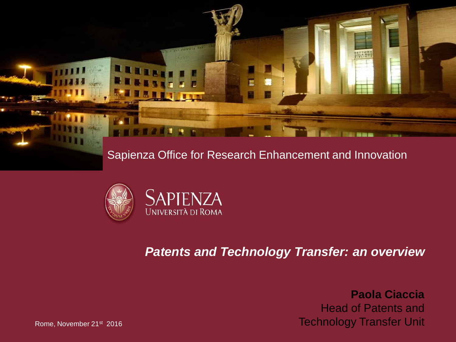g. E

#### Sapienza Office for Research Enhancement and Innovation



#### *Patents and Technology Transfer: an overview*

**Paola Ciaccia** Head of Patents and Technology Transfer Unit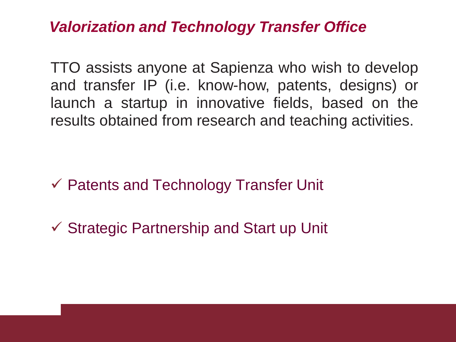### *Valorization and Technology Transfer Office*

TTO assists anyone at Sapienza who wish to develop and transfer IP (i.e. know-how, patents, designs) or launch a startup in innovative fields, based on the results obtained from research and teaching activities.

 $\checkmark$  Patents and Technology Transfer Unit

 $\checkmark$  Strategic Partnership and Start up Unit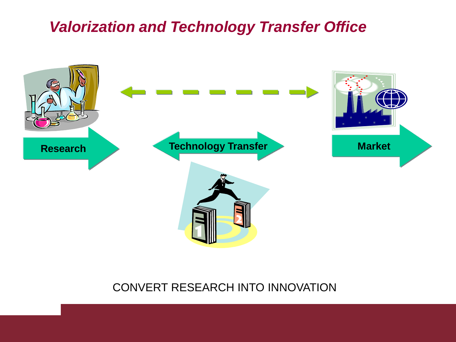### *Valorization and Technology Transfer Office*



#### CONVERT RESEARCH INTO INNOVATION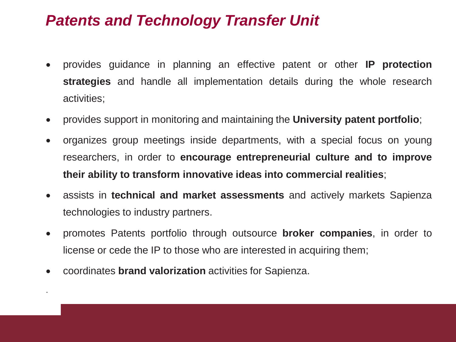## *Patents and Technology Transfer Unit*

- provides guidance in planning an effective patent or other **IP protection strategies** and handle all implementation details during the whole research activities;
- provides support in monitoring and maintaining the **University patent portfolio**;
- organizes group meetings inside departments, with a special focus on young researchers, in order to **encourage entrepreneurial culture and to improve their ability to transform innovative ideas into commercial realities**;
- assists in **technical and market assessments** and actively markets Sapienza technologies to industry partners.
- promotes Patents portfolio through outsource **broker companies**, in order to license or cede the IP to those who are interested in acquiring them;
- coordinates **brand valorization** activities for Sapienza.

.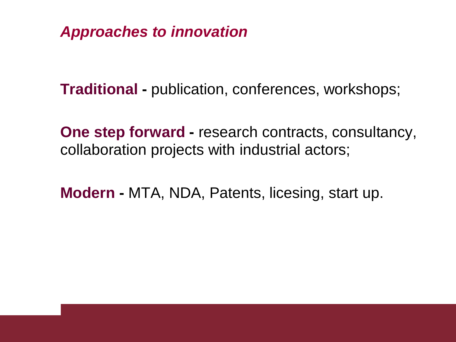*Approaches to innovation*

**Traditional -** publication, conferences, workshops;

**One step forward -** research contracts, consultancy, collaboration projects with industrial actors;

**Modern -** MTA, NDA, Patents, licesing, start up.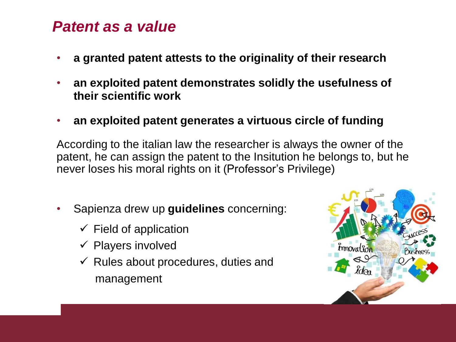#### *Patent as a value*

- **a granted patent attests to the originality of their research**
- **an exploited patent demonstrates solidly the usefulness of their scientific work**
- **an exploited patent generates a virtuous circle of funding**

According to the italian law the researcher is always the owner of the patent, he can assign the patent to the Insitution he belongs to, but he never loses his moral rights on it (Professor's Privilege)

- Sapienza drew up **guidelines** concerning:
	- $\checkmark$  Field of application
	- $\checkmark$  Players involved
	- $\checkmark$  Rules about procedures, duties and management

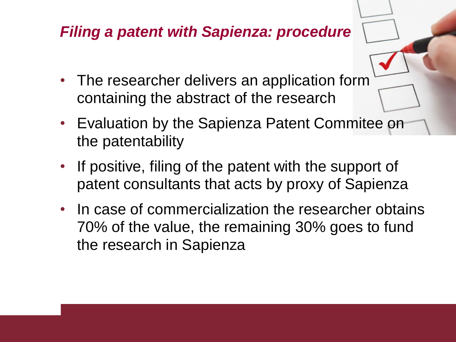# *Filing a patent with Sapienza: procedure*

- The researcher delivers an application form containing the abstract of the research
- Evaluation by the Sapienza Patent Commitee on the patentability
- If positive, filing of the patent with the support of patent consultants that acts by proxy of Sapienza
- In case of commercialization the researcher obtains 70% of the value, the remaining 30% goes to fund the research in Sapienza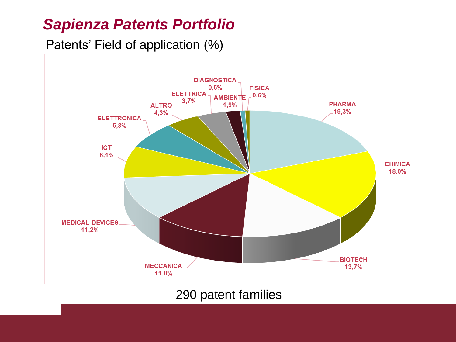### *Sapienza Patents Portfolio*

Patents' Field of application (%)



#### 290 patent families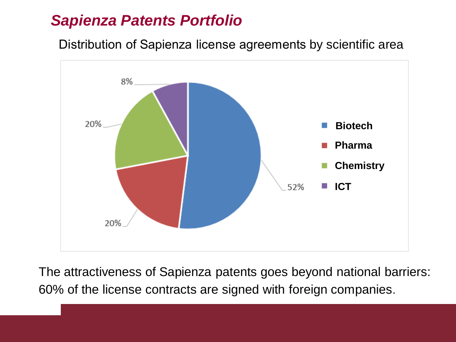### *Sapienza Patents Portfolio*

Distribution of Sapienza license agreements by scientific area



The attractiveness of Sapienza patents goes beyond national barriers: 60% of the license contracts are signed with foreign companies.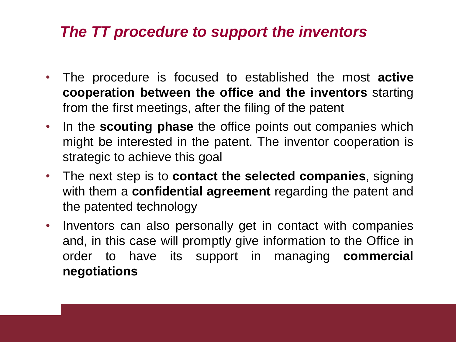### *The TT procedure to support the inventors*

- The procedure is focused to established the most **active cooperation between the office and the inventors** starting from the first meetings, after the filing of the patent
- In the **scouting phase** the office points out companies which might be interested in the patent. The inventor cooperation is strategic to achieve this goal
- The next step is to **contact the selected companies**, signing with them a **confidential agreement** regarding the patent and the patented technology
- Inventors can also personally get in contact with companies and, in this case will promptly give information to the Office in order to have its support in managing **commercial negotiations**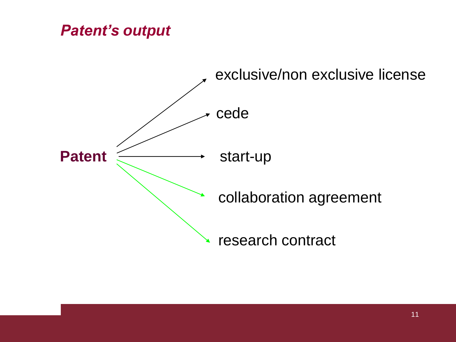## *Patent's output*

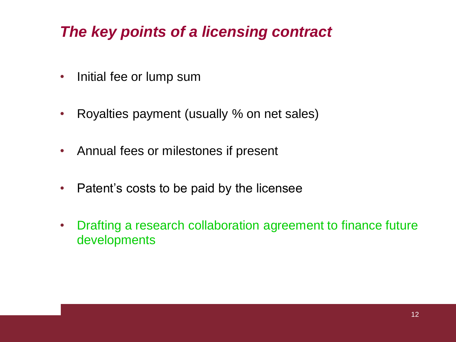# *The key points of a licensing contract*

- Initial fee or lump sum
- Royalties payment (usually % on net sales)
- Annual fees or milestones if present
- Patent's costs to be paid by the licensee
- Drafting a research collaboration agreement to finance future developments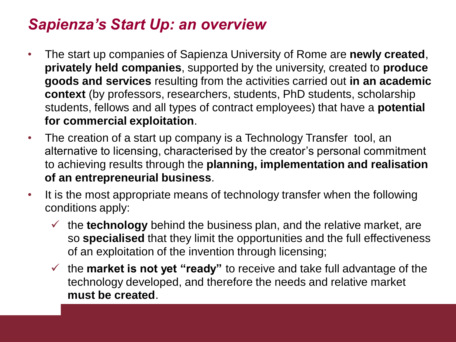# *Sapienza's Start Up: an overview*

- The start up companies of Sapienza University of Rome are **newly created**, **privately held companies**, supported by the university, created to **produce goods and services** resulting from the activities carried out **in an academic context** (by professors, researchers, students, PhD students, scholarship students, fellows and all types of contract employees) that have a **potential for commercial exploitation**.
- The creation of a start up company is a Technology Transfer tool, an alternative to licensing, characterised by the creator's personal commitment to achieving results through the **planning, implementation and realisation of an entrepreneurial business**.
- It is the most appropriate means of technology transfer when the following conditions apply:
	- $\checkmark$  the **technology** behind the business plan, and the relative market, are so **specialised** that they limit the opportunities and the full effectiveness of an exploitation of the invention through licensing;
	- the **market is not yet "ready"** to receive and take full advantage of the technology developed, and therefore the needs and relative market **must be created**.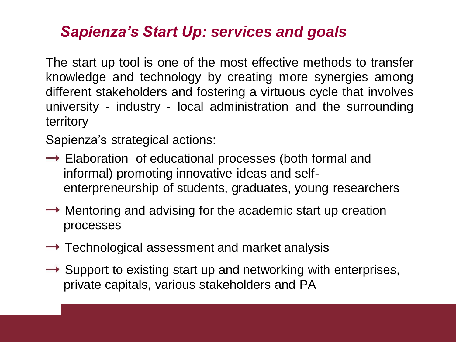# *Sapienza's Start Up: services and goals*

The start up tool is one of the most effective methods to transfer knowledge and technology by creating more synergies among different stakeholders and fostering a virtuous cycle that involves university - industry - local administration and the surrounding territory

Sapienza's strategical actions:

- $\rightarrow$  Elaboration of educational processes (both formal and informal) promoting innovative ideas and selfenterpreneurship of students, graduates, young researchers
- $\rightarrow$  Mentoring and advising for the academic start up creation processes
- $\rightarrow$  Technological assessment and market analysis
- $\rightarrow$  Support to existing start up and networking with enterprises, private capitals, various stakeholders and PA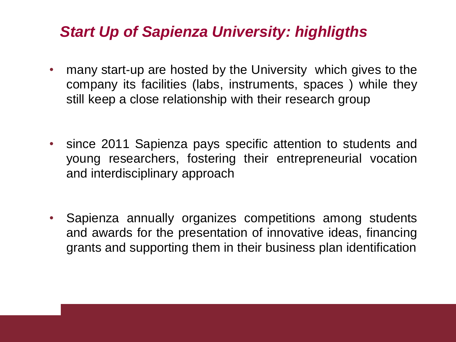### *Start Up of Sapienza University: highligths*

- many start-up are hosted by the University which gives to the company its facilities (labs, instruments, spaces ) while they still keep a close relationship with their research group
- since 2011 Sapienza pays specific attention to students and young researchers, fostering their entrepreneurial vocation and interdisciplinary approach
- Sapienza annually organizes competitions among students and awards for the presentation of innovative ideas, financing grants and supporting them in their business plan identification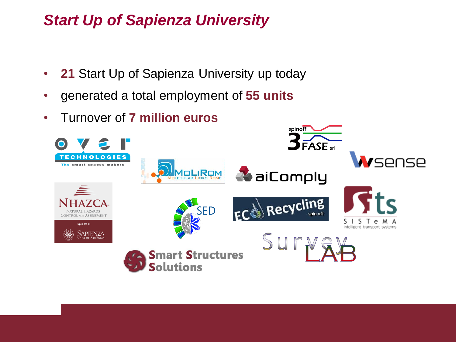# *Start Up of Sapienza University*

- **21** Start Up of Sapienza University up today
- generated a total employment of **55 units**
- Turnover of **7 million euros**